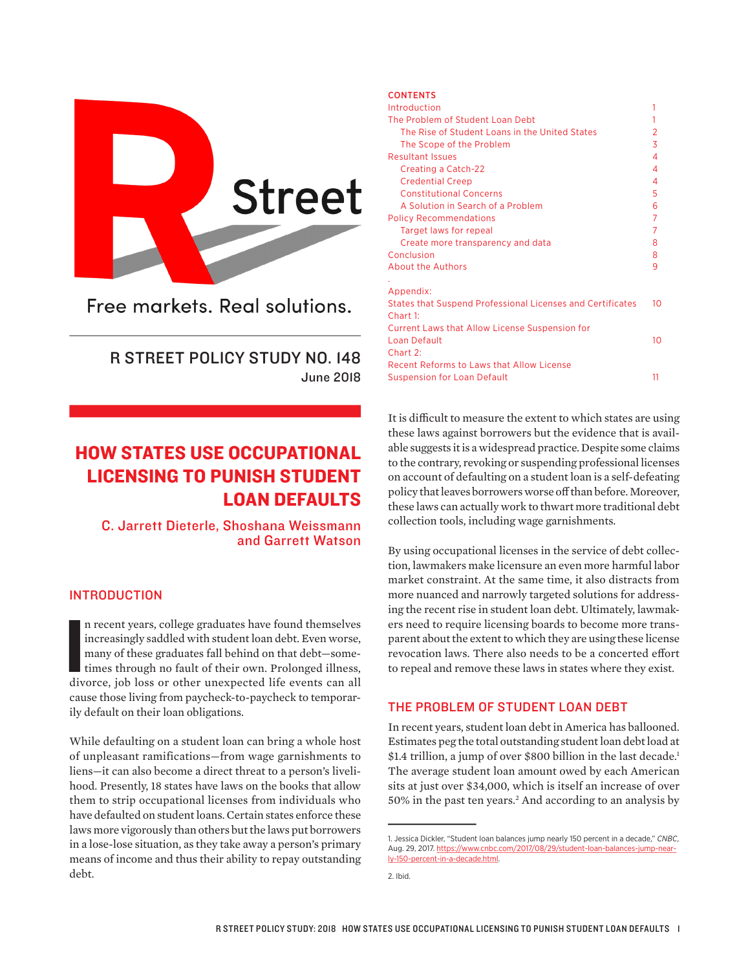

Free markets, Real solutions.

## R STREET POLICY STUDY NO. 148 June 2018

# HOW STATES USE OCCUPATIONAL LICENSING TO PUNISH STUDENT LOAN DEFAULTS

C. Jarrett Dieterle, Shoshana Weissmann and Garrett Watson

## INTRODUCTION

In recent years, college graduates have found themselves increasingly saddled with student loan debt. Even worse, many of these graduates fall behind on that debt—sometimes through no fault of their own. Prolonged illness, n recent years, college graduates have found themselves increasingly saddled with student loan debt. Even worse, many of these graduates fall behind on that debt—sometimes through no fault of their own. Prolonged illness, cause those living from paycheck-to-paycheck to temporarily default on their loan obligations.

While defaulting on a student loan can bring a whole host of unpleasant ramifications—from wage garnishments to liens—it can also become a direct threat to a person's livelihood. Presently, 18 states have laws on the books that allow them to strip occupational licenses from individuals who have defaulted on student loans. Certain states enforce these laws more vigorously than others but the laws put borrowers in a lose-lose situation, as they take away a person's primary means of income and thus their ability to repay outstanding debt.

#### CONTENTS

| Introduction                                               | 1  |
|------------------------------------------------------------|----|
| The Problem of Student Loan Debt                           | 1  |
| The Rise of Student Loans in the United States             | 2  |
| The Scope of the Problem                                   | 3  |
| <b>Resultant Issues</b>                                    | 4  |
| Creating a Catch-22                                        | 4  |
| <b>Credential Creep</b>                                    | 4  |
| <b>Constitutional Concerns</b>                             | 5  |
| A Solution in Search of a Problem                          | 6  |
| <b>Policy Recommendations</b>                              | 7  |
| Target laws for repeal                                     | 7  |
| Create more transparency and data                          | 8  |
| Conclusion                                                 | 8  |
| About the Authors                                          | 9  |
|                                                            |    |
| Appendix:                                                  |    |
| States that Suspend Professional Licenses and Certificates | 10 |
| $Charf1$ :                                                 |    |
| <b>Current Laws that Allow License Suspension for</b>      |    |
| Loan Default                                               | 10 |
| Chart 2:                                                   |    |
| Recent Reforms to Laws that Allow License                  |    |
| <b>Suspension for Loan Default</b>                         | 11 |

It is difficult to measure the extent to which states are using these laws against borrowers but the evidence that is available suggests it is a widespread practice. Despite some claims to the contrary, revoking or suspending professional licenses on account of defaulting on a student loan is a self-defeating policy that leaves borrowers worse off than before. Moreover, these laws can actually work to thwart more traditional debt collection tools, including wage garnishments.

By using occupational licenses in the service of debt collection, lawmakers make licensure an even more harmful labor market constraint. At the same time, it also distracts from more nuanced and narrowly targeted solutions for addressing the recent rise in student loan debt. Ultimately, lawmakers need to require licensing boards to become more transparent about the extent to which they are using these license revocation laws. There also needs to be a concerted efort to repeal and remove these laws in states where they exist.

## THE PROBLEM OF STUDENT LOAN DEBT

In recent years, student loan debt in America has ballooned. Estimates peg the total outstanding student loan debt load at \$1.4 trillion, a jump of over \$800 billion in the last decade.<sup>1</sup> The average student loan amount owed by each American sits at just over \$34,000, which is itself an increase of over 50% in the past ten years.2 And according to an analysis by

<sup>1.</sup> Jessica Dickler, "Student loan balances jump nearly 150 percent in a decade," *CNBC*, Aug. 29, 2017. https://www.cnbc.com/2017/08/29/student-loan-balances-jump-nearly-150-percent-in-a-decade.html.

<sup>2.</sup> Ibid.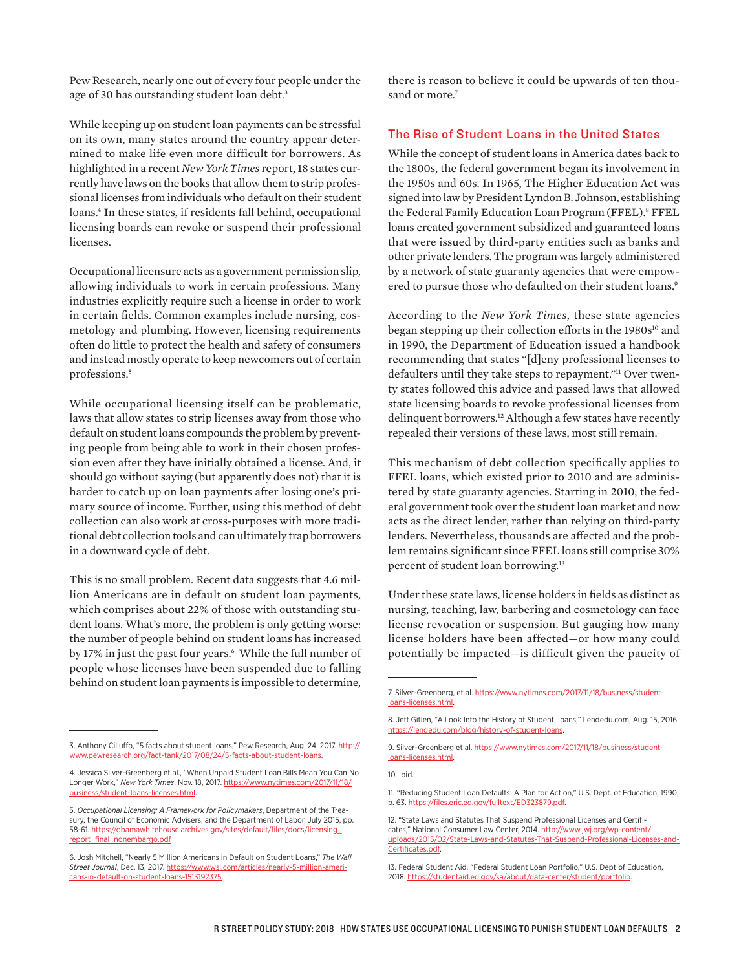Pew Research, nearly one out of every four people under the age of 30 has outstanding student loan debt.<sup>3</sup>

While keeping up on student loan payments can be stressful on its own, many states around the country appear determined to make life even more difficult for borrowers. As highlighted in a recent *New York Times* report, 18 states currently have laws on the books that allow them to strip professional licenses from individuals who default on their student loans.4 In these states, if residents fall behind, occupational licensing boards can revoke or suspend their professional licenses.

Occupational licensure acts as a government permission slip, allowing individuals to work in certain professions. Many industries explicitly require such a license in order to work in certain fields. Common examples include nursing, cosmetology and plumbing. However, licensing requirements often do little to protect the health and safety of consumers and instead mostly operate to keep newcomers out of certain professions.5

While occupational licensing itself can be problematic, laws that allow states to strip licenses away from those who default on student loans compounds the problem by preventing people from being able to work in their chosen profession even after they have initially obtained a license. And, it should go without saying (but apparently does not) that it is harder to catch up on loan payments after losing one's primary source of income. Further, using this method of debt collection can also work at cross-purposes with more traditional debt collection tools and can ultimately trap borrowers in a downward cycle of debt.

This is no small problem. Recent data suggests that 4.6 million Americans are in default on student loan payments, which comprises about 22% of those with outstanding student loans. What's more, the problem is only getting worse: the number of people behind on student loans has increased by 17% in just the past four years.<sup>6</sup> While the full number of people whose licenses have been suspended due to falling behind on student loan payments is impossible to determine,

there is reason to believe it could be upwards of ten thousand or more.<sup>7</sup>

## The Rise of Student Loans in the United States

While the concept of student loans in America dates back to the 1800s, the federal government began its involvement in the 1950s and 60s. In 1965, The Higher Education Act was signed into law by President Lyndon B. Johnson, establishing the Federal Family Education Loan Program (FFEL).<sup>8</sup> FFEL loans created government subsidized and guaranteed loans that were issued by third-party entities such as banks and other private lenders. The program was largely administered by a network of state guaranty agencies that were empowered to pursue those who defaulted on their student loans.<sup>9</sup>

According to the *New York Times*, these state agencies began stepping up their collection efforts in the 1980s<sup>10</sup> and in 1990, the Department of Education issued a handbook recommending that states "[d]eny professional licenses to defaulters until they take steps to repayment."<sup>11</sup> Over twenty states followed this advice and passed laws that allowed state licensing boards to revoke professional licenses from delinquent borrowers.12 Although a few states have recently repealed their versions of these laws, most still remain.

This mechanism of debt collection specifically applies to FFEL loans, which existed prior to 2010 and are administered by state guaranty agencies. Starting in 2010, the federal government took over the student loan market and now acts as the direct lender, rather than relying on third-party lenders. Nevertheless, thousands are afected and the problem remains significant since FFEL loans still comprise 30% percent of student loan borrowing.13

Under these state laws, license holders in fields as distinct as nursing, teaching, law, barbering and cosmetology can face license revocation or suspension. But gauging how many license holders have been affected—or how many could potentially be impacted—is difficult given the paucity of

<sup>3.</sup> Anthony Cilluffo, "5 facts about student loans," Pew Research, Aug. 24, 2017. http:// www.pewresearch.org/fact-tank/2017/08/24/5-facts-about-student-loans.

<sup>4.</sup> Jessica Silver-Greenberg et al., "When Unpaid Student Loan Bills Mean You Can No Longer Work," *New York Times*, Nov. 18, 2017. https://www.nytimes.com/2017/11/18/ business/student-loans-licenses.html.

<sup>5.</sup> *Occupational Licensing: A Framework for Policymakers*, Department of the Treasury, the Council of Economic Advisers, and the Department of Labor, July 2015, pp. 58-61. https://obamawhitehouse.archives.gov/sites/default/files/docs/licensing\_ report\_final\_nonembargo.pdf

<sup>6.</sup> Josh Mitchell, "Nearly 5 Million Americans in Default on Student Loans," *The Wall Street Journal*, Dec. 13, 2017. https://www.wsj.com/articles/nearly-5-million-americans-in-default-on-student-loans-1513192375.

<sup>7.</sup> Silver-Greenberg, et al. https://www.nytimes.com/2017/11/18/business/studentloans-licenses.html.

<sup>8.</sup> Jeff Gitlen, "A Look Into the History of Student Loans," Lendedu.com, Aug. 15, 2016. https://lendedu.com/blog/history

<sup>9.</sup> Silver-Greenberg et al. https://www.nytimes.com/2017/11/18/business/studentloans-licenses.html.

<sup>10.</sup> Ibid.

<sup>11. &</sup>quot;Reducing Student Loan Defaults: A Plan for Action," U.S. Dept. of Education, 1990, p. 63. https://files.eric.ed.gov/fulltext/ED323879.pdf.

<sup>12. &</sup>quot;State Laws and Statutes That Suspend Professional Licenses and Certificates," National Consumer Law Center, 2014. http://www.jwj.org/wp-content/ uploads/2015/02/State-Laws-and-Statutes-That-Suspend-Professional-Licenses-and-Certificates.pdf.

<sup>13.</sup> Federal Student Aid, "Federal Student Loan Portfolio," U.S. Dept of Education, 2018. https://studentaid.ed.gov/sa/about/data-center/student/portfolio.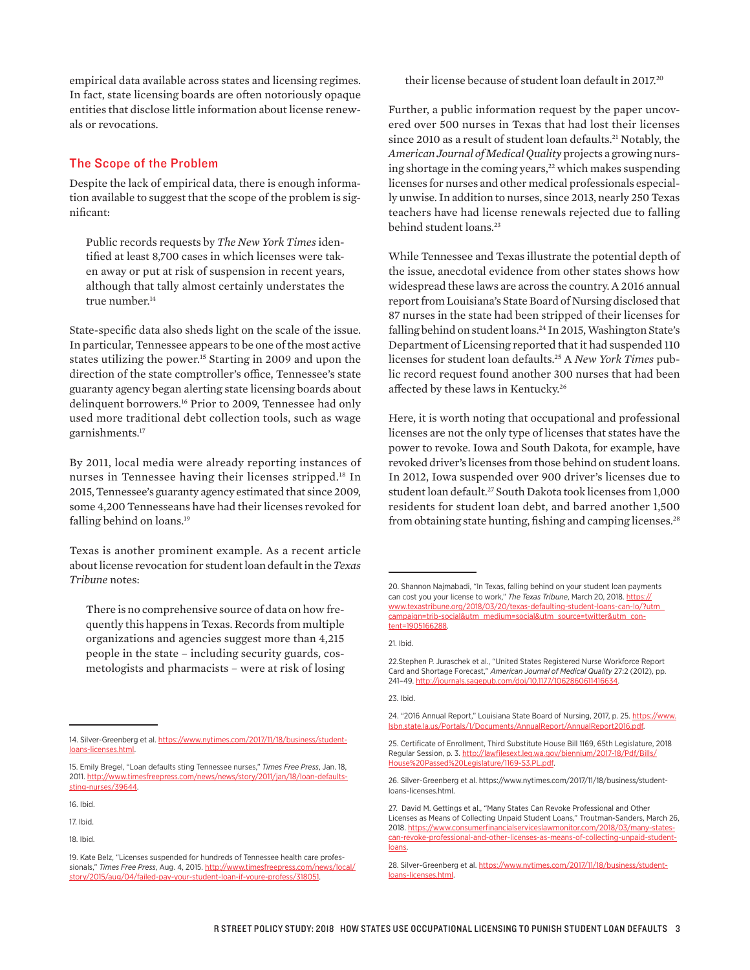empirical data available across states and licensing regimes. In fact, state licensing boards are often notoriously opaque entities that disclose little information about license renewals or revocations.

#### The Scope of the Problem

Despite the lack of empirical data, there is enough information available to suggest that the scope of the problem is significant:

Public records requests by *The New York Times* identified at least 8,700 cases in which licenses were taken away or put at risk of suspension in recent years, although that tally almost certainly understates the true number.<sup>14</sup>

State-specific data also sheds light on the scale of the issue. In particular, Tennessee appears to be one of the most active states utilizing the power.15 Starting in 2009 and upon the direction of the state comptroller's office, Tennessee's state guaranty agency began alerting state licensing boards about delinquent borrowers.<sup>16</sup> Prior to 2009, Tennessee had only used more traditional debt collection tools, such as wage garnishments.17

By 2011, local media were already reporting instances of nurses in Tennessee having their licenses stripped.<sup>18</sup> In 2015, Tennessee's guaranty agency estimated that since 2009, some 4,200 Tennesseans have had their licenses revoked for falling behind on loans.<sup>19</sup>

Texas is another prominent example. As a recent article about license revocation for student loan default in the *Texas Tribune* notes:

There is no comprehensive source of data on how frequently this happens in Texas. Records from multiple organizations and agencies suggest more than 4,215 people in the state – including security guards, cosmetologists and pharmacists – were at risk of losing their license because of student loan default in 2017.20

Further, a public information request by the paper uncovered over 500 nurses in Texas that had lost their licenses since 2010 as a result of student loan defaults.<sup>21</sup> Notably, the *American Journal of Medical Quality* projects a growing nursing shortage in the coming years,<sup>22</sup> which makes suspending licenses for nurses and other medical professionals especially unwise. In addition to nurses, since 2013, nearly 250 Texas teachers have had license renewals rejected due to falling behind student loans.<sup>23</sup>

While Tennessee and Texas illustrate the potential depth of the issue, anecdotal evidence from other states shows how widespread these laws are across the country. A 2016 annual report from Louisiana's State Board of Nursing disclosed that 87 nurses in the state had been stripped of their licenses for falling behind on student loans.<sup>24</sup> In 2015, Washington State's Department of Licensing reported that it had suspended 110 licenses for student loan defaults.25 A *New York Times* public record request found another 300 nurses that had been afected by these laws in Kentucky.26

Here, it is worth noting that occupational and professional licenses are not the only type of licenses that states have the power to revoke. Iowa and South Dakota, for example, have revoked driver's licenses from those behind on student loans. In 2012, Iowa suspended over 900 driver's licenses due to student loan default.<sup>27</sup> South Dakota took licenses from 1,000 residents for student loan debt, and barred another 1,500 from obtaining state hunting, fishing and camping licenses.<sup>28</sup>

21. Ibid.

23. Ibid.

24. "2016 Annual Report," Louisiana State Board of Nursing, 2017, p. 25. https://www. lsbn.state.la.us/Portals/1/Documents/AnnualReport/AnnualReport2016.pdf.

26. Silver-Greenberg et al. https://www.nytimes.com/2017/11/18/business/studentloans-licenses.html.

<sup>14.</sup> Silver-Greenberg et al. https://www.nytimes.com/2017/11/18/business/studentloans-licenses.html.

<sup>15.</sup> Emily Bregel, "Loan defaults sting Tennessee nurses," *Times Free Press*, Jan. 18, 2011. http://www.timesfreepress.com/news/news/story/2011/jan/18/loan-defaultssting-nurses/39644.

<sup>16.</sup> Ibid.

<sup>17.</sup> Ibid.

<sup>18.</sup> Ibid.

<sup>19.</sup> Kate Belz, "Licenses suspended for hundreds of Tennessee health care professionals," *Times Free Press*, Aug. 4, 2015. http://www.timesfreepress.com/news/local/ story/2015/aug/04/failed-pay-your-student-loan-if-youre-profess/318051.

<sup>20.</sup> Shannon Najmabadi, "In Texas, falling behind on your student loan payments can cost you your license to work," The Texas Tribune, March 20, 2018. https:// www.texastribune.org/2018/03/20/texas-defaulting-student-loans-can-lo/?utm\_ campaign=trib-social&utm\_medium=social&utm\_source=twitter&utm\_content=1905166288.

<sup>22.</sup>Stephen P. Juraschek et al., "United States Registered Nurse Workforce Report Card and Shortage Forecast," *American Journal of Medical Quality* 27:2 (2012), pp. 241–49. http://journals.sagepub.com/doi/10.1177/1062860611416634.

<sup>25.</sup> Certificate of Enrollment, Third Substitute House Bill 1169, 65th Legislature, 2018 Regular Session, p. 3. http://lawfilesext.leg.wa.gov/biennium/2017-18/Pdf/Bills/ House%20Passed%20Legislature/1169-S3.PL.pdf.

<sup>27.</sup> David M. Gettings et al., "Many States Can Revoke Professional and Other Licenses as Means of Collecting Unpaid Student Loans," Troutman-Sanders, March 26, 2018. https://www.consumerfinancialserviceslawmonitor.com/2018/03/many-statescan-revoke-professional-and-other-licenses-as-means-of-collecting-unpaid-studentloans.

<sup>28.</sup> Silver-Greenberg et al. https://www.nytimes.com/2017/11/18/business/studentloans-licenses.html.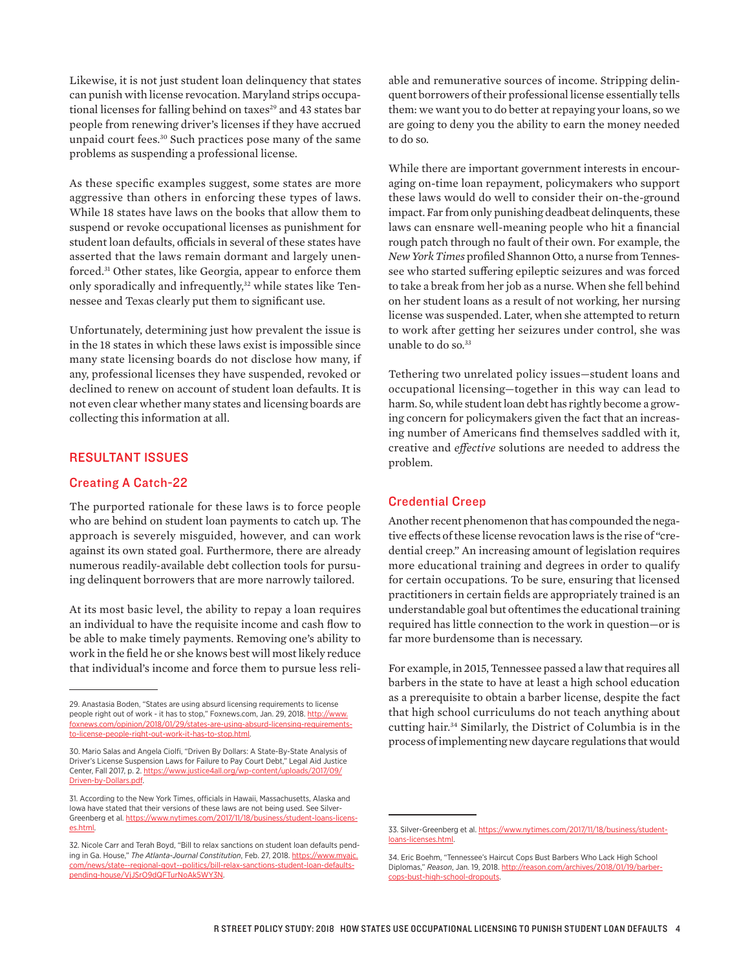Likewise, it is not just student loan delinquency that states can punish with license revocation. Maryland strips occupational licenses for falling behind on taxes<sup>29</sup> and 43 states bar people from renewing driver's licenses if they have accrued unpaid court fees.30 Such practices pose many of the same problems as suspending a professional license.

As these specific examples suggest, some states are more aggressive than others in enforcing these types of laws. While 18 states have laws on the books that allow them to suspend or revoke occupational licenses as punishment for student loan defaults, officials in several of these states have asserted that the laws remain dormant and largely unenforced.31 Other states, like Georgia, appear to enforce them only sporadically and infrequently,<sup>32</sup> while states like Tennessee and Texas clearly put them to significant use.

Unfortunately, determining just how prevalent the issue is in the 18 states in which these laws exist is impossible since many state licensing boards do not disclose how many, if any, professional licenses they have suspended, revoked or declined to renew on account of student loan defaults. It is not even clear whether many states and licensing boards are collecting this information at all.

## RESULTANT ISSUES

#### Creating A Catch-22

The purported rationale for these laws is to force people who are behind on student loan payments to catch up. The approach is severely misguided, however, and can work against its own stated goal. Furthermore, there are already numerous readily-available debt collection tools for pursuing delinquent borrowers that are more narrowly tailored.

At its most basic level, the ability to repay a loan requires an individual to have the requisite income and cash flow to be able to make timely payments. Removing one's ability to work in the field he or she knows best will most likely reduce that individual's income and force them to pursue less reli-

able and remunerative sources of income. Stripping delinquent borrowers of their professional license essentially tells them: we want you to do better at repaying your loans, so we are going to deny you the ability to earn the money needed to do so.

While there are important government interests in encouraging on-time loan repayment, policymakers who support these laws would do well to consider their on-the-ground impact. Far from only punishing deadbeat delinquents, these laws can ensnare well-meaning people who hit a financial rough patch through no fault of their own. For example, the *New York Times* profiled Shannon Otto, a nurse from Tennessee who started sufering epileptic seizures and was forced to take a break from her job as a nurse. When she fell behind on her student loans as a result of not working, her nursing license was suspended. Later, when she attempted to return to work after getting her seizures under control, she was unable to do so.<sup>33</sup>

Tethering two unrelated policy issues—student loans and occupational licensing—together in this way can lead to harm. So, while student loan debt has rightly become a growing concern for policymakers given the fact that an increasing number of Americans find themselves saddled with it, creative and *efective* solutions are needed to address the problem.

#### Credential Creep

Another recent phenomenon that has compounded the negative efects of these license revocation laws is the rise of "credential creep." An increasing amount of legislation requires more educational training and degrees in order to qualify for certain occupations. To be sure, ensuring that licensed practitioners in certain fields are appropriately trained is an understandable goal but oftentimes the educational training required has little connection to the work in question—or is far more burdensome than is necessary.

For example, in 2015, Tennessee passed a law that requires all barbers in the state to have at least a high school education as a prerequisite to obtain a barber license, despite the fact that high school curriculums do not teach anything about cutting hair.34 Similarly, the District of Columbia is in the process of implementing new daycare regulations that would

<sup>29.</sup> Anastasia Boden, "States are using absurd licensing requirements to license people right out of work - it has to stop," Foxnews.com, Jan. 29, 2018. http://www. foxnews.com/opinion/2018/01/29/states-are-using-absurd-licensing-requirementsto-license-people-right-out-work-it-has-to-stop.html.

<sup>30.</sup> Mario Salas and Angela Ciolfi, "Driven By Dollars: A State-By-State Analysis of Driver's License Suspension Laws for Failure to Pay Court Debt," Legal Aid Justice Center, Fall 2017, p. 2. https://www.justice4all.org/wp-content/uploads/2017/09/ Driven-by-Dollars.pdf.

<sup>31.</sup> According to the New York Times, officials in Hawaii, Massachusetts, Alaska and Iowa have stated that their versions of these laws are not being used. See Silver-Greenberg et al. https://www.nytimes.com/2017/11/18/business/student-loans-licenses.html.

<sup>32.</sup> Nicole Carr and Terah Boyd, "Bill to relax sanctions on student loan defaults pending in Ga. House," *The Atlanta-Journal Constitution*, Feb. 27, 2018. https://www.myajc. com/news/state--regional-govt--politics/bill-relax-sanctions-student-loan-defaultspending-house/VjJSrO9dQFTurNoAk5WY3N.

<sup>33.</sup> Silver-Greenberg et al. https://www.nytimes.com/2017/11/18/business/studentloans-licenses.html.

<sup>34.</sup> Eric Boehm, "Tennessee's Haircut Cops Bust Barbers Who Lack High School Diplomas," *Reason*, Jan. 19, 2018. http://reason.com/archives/2018/01/19/barbercops-bust-high-school-dropouts.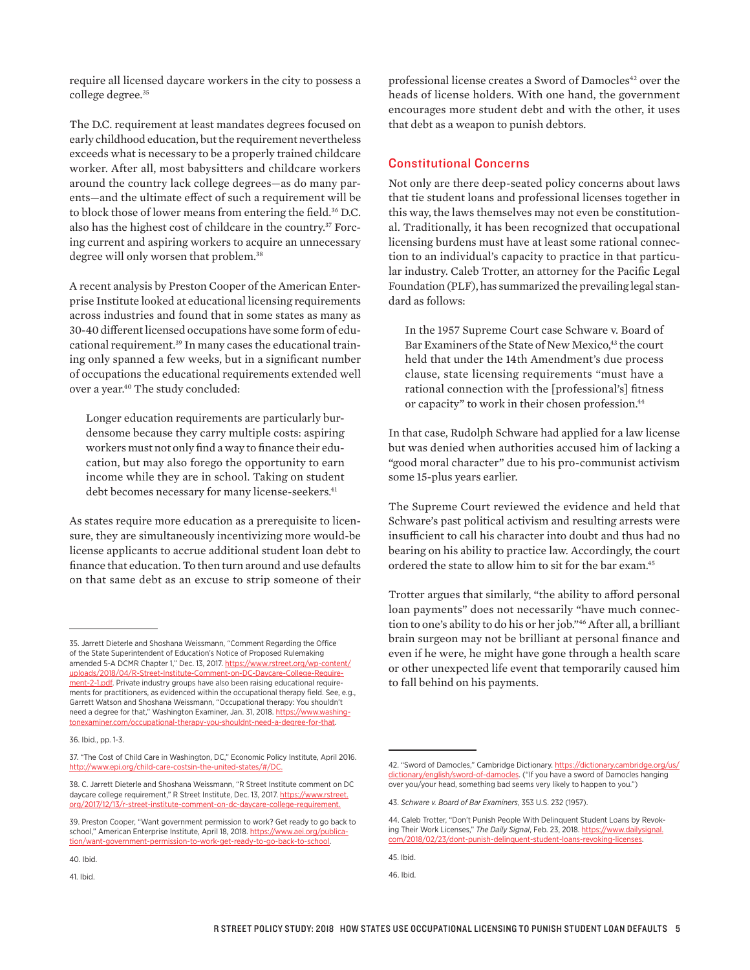require all licensed daycare workers in the city to possess a college degree.<sup>35</sup>

The D.C. requirement at least mandates degrees focused on early childhood education, but the requirement nevertheless exceeds what is necessary to be a properly trained childcare worker. After all, most babysitters and childcare workers around the country lack college degrees—as do many parents—and the ultimate efect of such a requirement will be to block those of lower means from entering the field.<sup>36</sup> D.C. also has the highest cost of childcare in the country.<sup>37</sup> Forcing current and aspiring workers to acquire an unnecessary degree will only worsen that problem.<sup>38</sup>

A recent analysis by Preston Cooper of the American Enterprise Institute looked at educational licensing requirements across industries and found that in some states as many as 30-40 diferent licensed occupations have some form of educational requirement.39 In many cases the educational training only spanned a few weeks, but in a significant number of occupations the educational requirements extended well over a year.40 The study concluded:

Longer education requirements are particularly burdensome because they carry multiple costs: aspiring workers must not only find a way to finance their education, but may also forego the opportunity to earn income while they are in school. Taking on student debt becomes necessary for many license-seekers.<sup>41</sup>

As states require more education as a prerequisite to licensure, they are simultaneously incentivizing more would-be license applicants to accrue additional student loan debt to finance that education. To then turn around and use defaults on that same debt as an excuse to strip someone of their

professional license creates a Sword of Damocles<sup>42</sup> over the heads of license holders. With one hand, the government encourages more student debt and with the other, it uses that debt as a weapon to punish debtors.

#### Constitutional Concerns

Not only are there deep-seated policy concerns about laws that tie student loans and professional licenses together in this way, the laws themselves may not even be constitutional. Traditionally, it has been recognized that occupational licensing burdens must have at least some rational connection to an individual's capacity to practice in that particular industry. Caleb Trotter, an attorney for the Pacific Legal Foundation (PLF), has summarized the prevailing legal standard as follows:

In the 1957 Supreme Court case Schware v. Board of Bar Examiners of the State of New Mexico,<sup>43</sup> the court held that under the 14th Amendment's due process clause, state licensing requirements "must have a rational connection with the [professional's] fitness or capacity" to work in their chosen profession.<sup>44</sup>

In that case, Rudolph Schware had applied for a law license but was denied when authorities accused him of lacking a "good moral character" due to his pro-communist activism some 15-plus years earlier.

The Supreme Court reviewed the evidence and held that Schware's past political activism and resulting arrests were insufficient to call his character into doubt and thus had no bearing on his ability to practice law. Accordingly, the court ordered the state to allow him to sit for the bar exam.45

Trotter argues that similarly, "the ability to afford personal loan payments" does not necessarily "have much connection to one's ability to do his or her job."46 After all, a brilliant brain surgeon may not be brilliant at personal finance and even if he were, he might have gone through a health scare or other unexpected life event that temporarily caused him to fall behind on his payments.

<sup>35.</sup> Jarrett Dieterle and Shoshana Weissmann, "Comment Regarding the Office of the State Superintendent of Education's Notice of Proposed Rulemaking amended 5-A DCMR Chapter 1," Dec. 13, 2017. https://www.rstreet.org/wp-content/ uploads/2018/04/R-Street-Institute-Comment-on-DC-Daycare-College-Requirement-2-1.pdf. Private industry groups have also been raising educational requirements for practitioners, as evidenced within the occupational therapy field. See, e.g., Garrett Watson and Shoshana Weissmann, "Occupational therapy: You shouldn't need a degree for that," Washington Examiner, Jan. 31, 2018. https://www.washingtonexaminer.com/occupational-therapy-you-shouldnt-need-a-degree-for-that.

<sup>36.</sup> Ibid., pp. 1-3.

<sup>37. &</sup>quot;The Cost of Child Care in Washington, DC," Economic Policy Institute, April 2016. http://www.epi.org/child-care-costsin-the-united-states/#/DC.

<sup>38.</sup> C. Jarrett Dieterle and Shoshana Weissmann, "R Street Institute comment on DC daycare college requirement," R Street Institute, Dec. 13, 2017. https://www.rstreet. org/2017/12/13/r-street-institute-comment-on-dc-daycare-college-requirement.

<sup>39.</sup> Preston Cooper, "Want government permission to work? Get ready to go back to school," American Enterprise Institute, April 18, 2018. https://www.aei.org/publication/want-government-permission-to-work-get-ready-to-go-back-to-school.

<sup>40.</sup> Ibid.

<sup>41.</sup> Ibid.

<sup>42. &</sup>quot;Sword of Damocles," Cambridge Dictionary. https://dictionary.cambridge.org/us/ dictionary/english/sword-of-damocles. ("If you have a sword of Damocles hanging over you/your head, something bad seems very likely to happen to you.")

<sup>43.</sup> *Schware v. Board of Bar Examiners*, 353 U.S. 232 (1957).

<sup>44.</sup> Caleb Trotter, "Don't Punish People With Delinquent Student Loans by Revoking Their Work Licenses," *The Daily Signal*, Feb. 23, 2018. https://www.dailysignal. com/2018/02/23/dont-punish-delinquent-student-loans-revoking-licenses.

<sup>45.</sup> Ibid.

<sup>46.</sup> Ibid.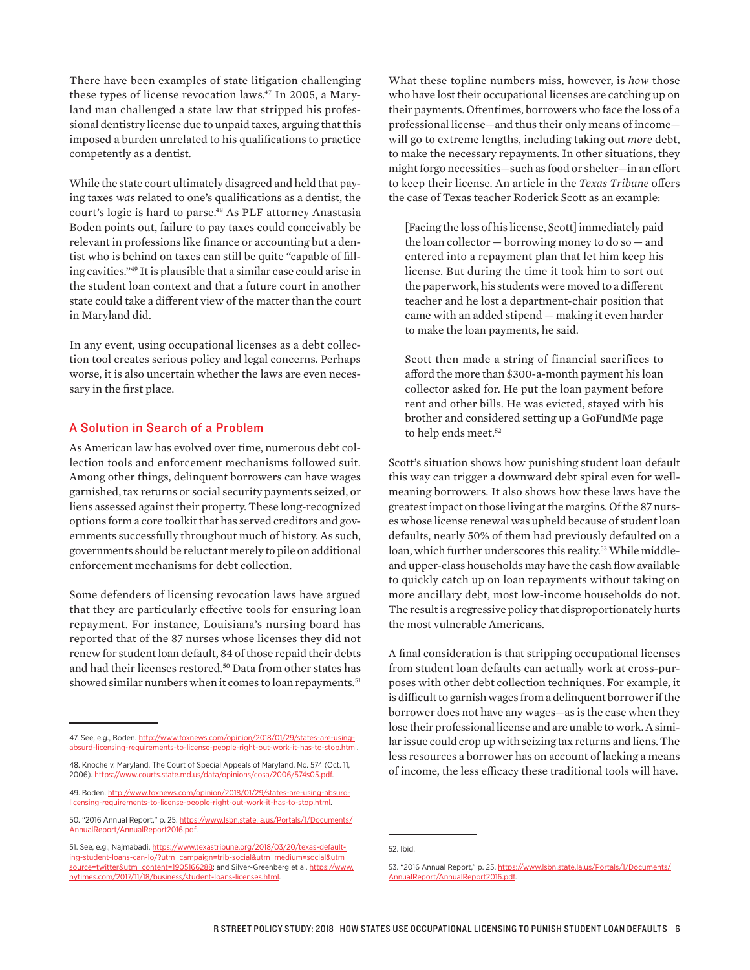There have been examples of state litigation challenging these types of license revocation laws.47 In 2005, a Maryland man challenged a state law that stripped his professional dentistry license due to unpaid taxes, arguing that this imposed a burden unrelated to his qualifications to practice competently as a dentist.

While the state court ultimately disagreed and held that paying taxes *was* related to one's qualifications as a dentist, the court's logic is hard to parse.<sup>48</sup> As PLF attorney Anastasia Boden points out, failure to pay taxes could conceivably be relevant in professions like finance or accounting but a dentist who is behind on taxes can still be quite "capable of filling cavities."49 It is plausible that a similar case could arise in the student loan context and that a future court in another state could take a diferent view of the matter than the court in Maryland did.

In any event, using occupational licenses as a debt collection tool creates serious policy and legal concerns. Perhaps worse, it is also uncertain whether the laws are even necessary in the first place.

## A Solution in Search of a Problem

As American law has evolved over time, numerous debt collection tools and enforcement mechanisms followed suit. Among other things, delinquent borrowers can have wages garnished, tax returns or social security payments seized, or liens assessed against their property. These long-recognized options form a core toolkit that has served creditors and governments successfully throughout much of history. As such, governments should be reluctant merely to pile on additional enforcement mechanisms for debt collection.

Some defenders of licensing revocation laws have argued that they are particularly efective tools for ensuring loan repayment. For instance, Louisiana's nursing board has reported that of the 87 nurses whose licenses they did not renew for student loan default, 84 of those repaid their debts and had their licenses restored.<sup>50</sup> Data from other states has showed similar numbers when it comes to loan repayments.<sup>51</sup>

What these topline numbers miss, however, is *how* those who have lost their occupational licenses are catching up on their payments. Oftentimes, borrowers who face the loss of a professional license—and thus their only means of income will go to extreme lengths, including taking out *more* debt, to make the necessary repayments. In other situations, they might forgo necessities—such as food or shelter—in an efort to keep their license. An article in the *Texas Tribune* ofers the case of Texas teacher Roderick Scott as an example:

[Facing the loss of his license, Scott] immediately paid the loan collector — borrowing money to do so — and entered into a repayment plan that let him keep his license. But during the time it took him to sort out the paperwork, his students were moved to a diferent teacher and he lost a department-chair position that came with an added stipend — making it even harder to make the loan payments, he said.

Scott then made a string of financial sacrifices to aford the more than \$300-a-month payment his loan collector asked for. He put the loan payment before rent and other bills. He was evicted, stayed with his brother and considered setting up a GoFundMe page to help ends meet.<sup>52</sup>

Scott's situation shows how punishing student loan default this way can trigger a downward debt spiral even for wellmeaning borrowers. It also shows how these laws have the greatest impact on those living at the margins. Of the 87 nurses whose license renewal was upheld because of student loan defaults, nearly 50% of them had previously defaulted on a loan, which further underscores this reality.<sup>53</sup> While middleand upper-class households may have the cash flow available to quickly catch up on loan repayments without taking on more ancillary debt, most low-income households do not. The result is a regressive policy that disproportionately hurts the most vulnerable Americans.

A final consideration is that stripping occupational licenses from student loan defaults can actually work at cross-purposes with other debt collection techniques. For example, it is difficult to garnish wages from a delinquent borrower if the borrower does not have any wages—as is the case when they lose their professional license and are unable to work. A similar issue could crop up with seizing tax returns and liens. The less resources a borrower has on account of lacking a means of income, the less efficacy these traditional tools will have.

<sup>47.</sup> See, e.g., Boden. http://www.foxnews.com/opinion/2018/01/29/states-are-usingabsurd-licensing-requirements-to-license-people-right-out-work-it-has-to-stop.html.

<sup>48.</sup> Knoche v. Maryland, The Court of Special Appeals of Maryland, No. 574 (Oct. 11, 2006). https://www.courts.state.md.us/data/opinions/cosa/2

<sup>49.</sup> Boden. http://www.foxnews.com/opinion/2018/01/29/states-are-using-absurdlicensing-requirements-to-license-people-right-out-work-it-has-to-stop.html.

<sup>50. &</sup>quot;2016 Annual Report," p. 25. https://www.lsbn.state.la.us/Portals/1/Documents/ AnnualReport/AnnualReport2016.pdf.

<sup>51.</sup> See, e.g., Najmabadi. https://www.texastribune.org/2018/03/20/texas-defaulting-student-loans-can-lo/?utm\_campaign=trib-social&utm\_medium=social&utm\_ source=twitter&utm\_content=1905166288; and Silver-Greenberg et al. https://www. nytimes.com/2017/11/18/business/student-loans-licenses.html.

<sup>52.</sup> Ibid.

<sup>53. &</sup>quot;2016 Annual Report," p. 25. https://www.lsbn.state.la.us/Portals/1/Documents/ AnnualReport/AnnualReport2016.pdf.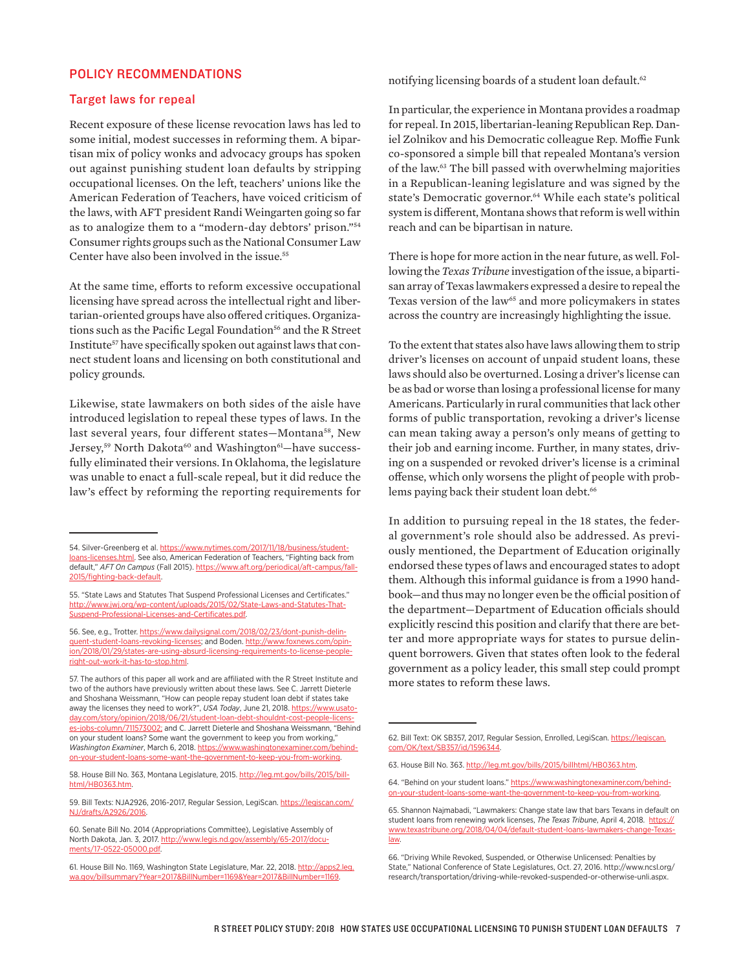## POLICY RECOMMENDATIONS

#### Target laws for repeal

Recent exposure of these license revocation laws has led to some initial, modest successes in reforming them. A bipartisan mix of policy wonks and advocacy groups has spoken out against punishing student loan defaults by stripping occupational licenses. On the left, teachers' unions like the American Federation of Teachers, have voiced criticism of the laws, with AFT president Randi Weingarten going so far as to analogize them to a "modern-day debtors' prison."54 Consumer rights groups such as the National Consumer Law Center have also been involved in the issue.<sup>55</sup>

At the same time, efforts to reform excessive occupational licensing have spread across the intellectual right and libertarian-oriented groups have also offered critiques. Organizations such as the Pacific Legal Foundation<sup>56</sup> and the R Street Institute<sup>57</sup> have specifically spoken out against laws that connect student loans and licensing on both constitutional and policy grounds.

Likewise, state lawmakers on both sides of the aisle have introduced legislation to repeal these types of laws. In the last several years, four different states-Montana<sup>58</sup>, New Jersey,<sup>59</sup> North Dakota<sup>60</sup> and Washington<sup>61</sup>-have successfully eliminated their versions. In Oklahoma, the legislature was unable to enact a full-scale repeal, but it did reduce the law's effect by reforming the reporting requirements for

56. See, e.g., Trotter. https://www.dailysignal.com/2018/02/23/dont-punish-delinquent-student-loans-revoking-licenses; and Boden. http://www.foxnews.com/opinion/2018/01/29/states-are-using-absurd-licensing-requirements-to-license-peopleright-out-work-it-has-to-stop.html.

57. The authors of this paper all work and are affiliated with the R Street Institute and two of the authors have previously written about these laws. See C. Jarrett Dieterle and Shoshana Weissmann, "How can people repay student loan debt if states take away the licenses they need to work?", *USA Today*, June 21, 2018. https://www.usatoday.com/story/opinion/2018/06/21/student-loan-debt-shouldnt-cost-people-licenses-jobs-column/711573002; and C. Jarrett Dieterle and Shoshana Weissmann, "Behind on your student loans? Some want the government to keep you from working," *Washington Examiner*, March 6, 2018. https://www.washingtonexaminer.com/behindon-your-student-loans-some-want-the-government-to-keep-you-from-working.

58. House Bill No. 363, Montana Legislature, 2015. http://leg.mt.gov/bills/2015/billhtml/HB0363.htm.

59. Bill Texts: NJA2926, 2016-2017, Regular Session, LegiScan. https://legiscan.com/ NJ/drafts/A2926/2016.

notifying licensing boards of a student loan default.<sup>62</sup>

In particular, the experience in Montana provides a roadmap for repeal. In 2015, libertarian-leaning Republican Rep. Daniel Zolnikov and his Democratic colleague Rep. Moffie Funk co-sponsored a simple bill that repealed Montana's version of the law.63 The bill passed with overwhelming majorities in a Republican-leaning legislature and was signed by the state's Democratic governor.<sup>64</sup> While each state's political system is diferent, Montana shows that reform is well within reach and can be bipartisan in nature.

There is hope for more action in the near future, as well. Following the *Texas Tribune* investigation of the issue, a bipartisan array of Texas lawmakers expressed a desire to repeal the Texas version of the law<sup>65</sup> and more policymakers in states across the country are increasingly highlighting the issue.

To the extent that states also have laws allowing them to strip driver's licenses on account of unpaid student loans, these laws should also be overturned. Losing a driver's license can be as bad or worse than losing a professional license for many Americans. Particularly in rural communities that lack other forms of public transportation, revoking a driver's license can mean taking away a person's only means of getting to their job and earning income. Further, in many states, driving on a suspended or revoked driver's license is a criminal ofense, which only worsens the plight of people with problems paying back their student loan debt.<sup>66</sup>

In addition to pursuing repeal in the 18 states, the federal government's role should also be addressed. As previously mentioned, the Department of Education originally endorsed these types of laws and encouraged states to adopt them. Although this informal guidance is from a 1990 handbook—and thus may no longer even be the official position of the department-Department of Education officials should explicitly rescind this position and clarify that there are better and more appropriate ways for states to pursue delinquent borrowers. Given that states often look to the federal government as a policy leader, this small step could prompt more states to reform these laws.

<sup>54.</sup> Silver-Greenberg et al. https://www.nytimes.com/2017/11/18/business/studentloans-licenses.html. See also, American Federation of Teachers, "Fighting back from default," *AFT On Campus* (Fall 2015). https://www.aft.org/periodical/aft-campus/fall-2015/fighting-back-default.

<sup>55. &</sup>quot;State Laws and Statutes That Suspend Professional Licenses and Certificates." http://www.jwj.org/wp-content/uploads/2015/02/State-Laws-and-Statutes-That-Suspend-Professional-Licenses-and-Certificates.pdf.

<sup>60.</sup> Senate Bill No. 2014 (Appropriations Committee), Legislative Assembly of North Dakota, Jan. 3, 2017. http://www.legis.nd.gov/assembly/65-2017/documents/17-0522-05000.pdf.

<sup>61.</sup> House Bill No. 1169, Washington State Legislature, Mar. 22, 2018. http://apps2.leg. wa.gov/billsummary?Year=2017&BillNumber=1169&Year=2017&BillNumber=1169.

<sup>62.</sup> Bill Text: OK SB357, 2017, Regular Session, Enrolled, LegiScan. https://legiscan. com/OK/text/SB357/id/1596344.

<sup>63.</sup> House Bill No. 363. http://leg.mt.gov/bills/2015/billhtml/HB0363.htm.

<sup>64. &</sup>quot;Behind on your student loans." https://www.washingtonexaminer.com/behindon-your-student-loans-some-want-the-government-to-keep-you-from-working.

<sup>65.</sup> Shannon Najmabadi, "Lawmakers: Change state law that bars Texans in default on student loans from renewing work licenses, *The Texas Tribune*, April 4, 2018. https:// www.texastribune.org/2018/04/04/default-student-loans-lawmakers-change-Texaslaw.

<sup>66. &</sup>quot;Driving While Revoked, Suspended, or Otherwise Unlicensed: Penalties by State," National Conference of State Legislatures, Oct. 27, 2016. http://www.ncsl.org/ research/transportation/driving-while-revoked-suspended-or-otherwise-unli.aspx.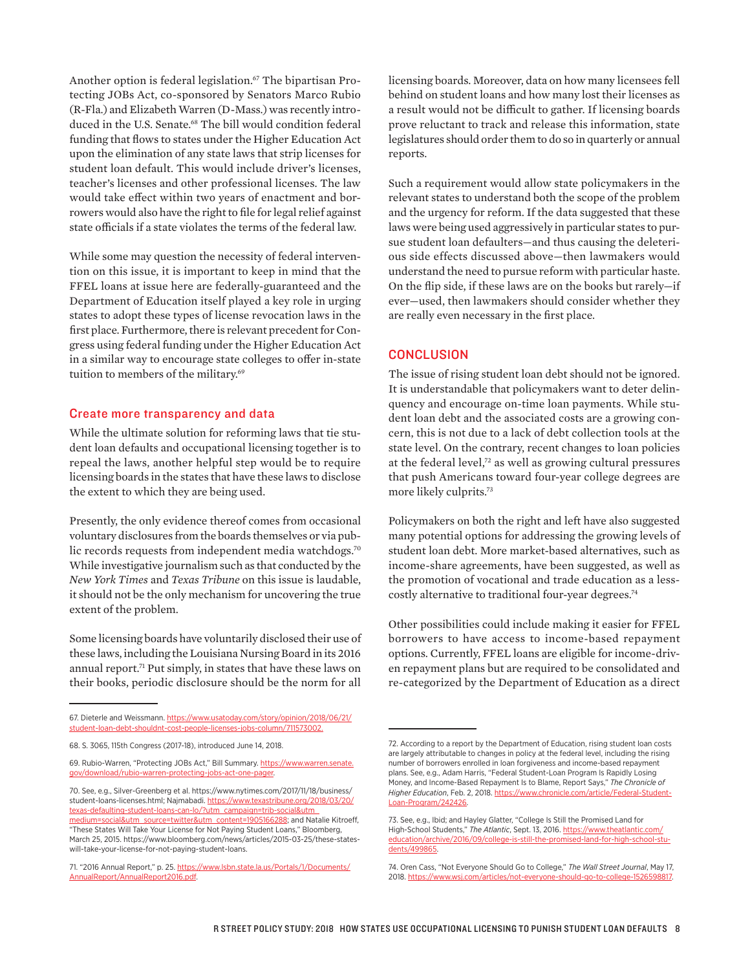Another option is federal legislation.<sup>67</sup> The bipartisan Protecting JOBs Act, co-sponsored by Senators Marco Rubio (R-Fla.) and Elizabeth Warren (D-Mass.) was recently introduced in the U.S. Senate.<sup>68</sup> The bill would condition federal funding that flows to states under the Higher Education Act upon the elimination of any state laws that strip licenses for student loan default. This would include driver's licenses, teacher's licenses and other professional licenses. The law would take efect within two years of enactment and borrowers would also have the right to file for legal relief against state officials if a state violates the terms of the federal law.

While some may question the necessity of federal intervention on this issue, it is important to keep in mind that the FFEL loans at issue here are federally-guaranteed and the Department of Education itself played a key role in urging states to adopt these types of license revocation laws in the first place. Furthermore, there is relevant precedent for Congress using federal funding under the Higher Education Act in a similar way to encourage state colleges to offer in-state tuition to members of the military.<sup>69</sup>

#### Create more transparency and data

While the ultimate solution for reforming laws that tie student loan defaults and occupational licensing together is to repeal the laws, another helpful step would be to require licensing boards in the states that have these laws to disclose the extent to which they are being used.

Presently, the only evidence thereof comes from occasional voluntary disclosures from the boards themselves or via public records requests from independent media watchdogs.<sup>70</sup> While investigative journalism such as that conducted by the *New York Times* and *Texas Tribune* on this issue is laudable, it should not be the only mechanism for uncovering the true extent of the problem.

Some licensing boards have voluntarily disclosed their use of these laws, including the Louisiana Nursing Board in its 2016 annual report.<sup>71</sup> Put simply, in states that have these laws on their books, periodic disclosure should be the norm for all

licensing boards. Moreover, data on how many licensees fell behind on student loans and how many lost their licenses as a result would not be difficult to gather. If licensing boards prove reluctant to track and release this information, state legislatures should order them to do so in quarterly or annual reports.

Such a requirement would allow state policymakers in the relevant states to understand both the scope of the problem and the urgency for reform. If the data suggested that these laws were being used aggressively in particular states to pursue student loan defaulters—and thus causing the deleterious side effects discussed above—then lawmakers would understand the need to pursue reform with particular haste. On the flip side, if these laws are on the books but rarely—if ever—used, then lawmakers should consider whether they are really even necessary in the first place.

### **CONCLUSION**

The issue of rising student loan debt should not be ignored. It is understandable that policymakers want to deter delinquency and encourage on-time loan payments. While student loan debt and the associated costs are a growing concern, this is not due to a lack of debt collection tools at the state level. On the contrary, recent changes to loan policies at the federal level,<sup>72</sup> as well as growing cultural pressures that push Americans toward four-year college degrees are more likely culprits.73

Policymakers on both the right and left have also suggested many potential options for addressing the growing levels of student loan debt. More market-based alternatives, such as income-share agreements, have been suggested, as well as the promotion of vocational and trade education as a lesscostly alternative to traditional four-year degrees.<sup>74</sup>

Other possibilities could include making it easier for FFEL borrowers to have access to income-based repayment options. Currently, FFEL loans are eligible for income-driven repayment plans but are required to be consolidated and re-categorized by the Department of Education as a direct

<sup>67.</sup> Dieterle and Weissmann. https://www.usatoday.com/story/opinion/2018/06/21/ student-loan-debt-shouldnt-cost-people-licenses-jobs-column/711573002.

<sup>68.</sup> S. 3065, 115th Congress (2017-18), introduced June 14, 2018.

<sup>69.</sup> Rubio-Warren, "Protecting JOBs Act," Bill Summary. https://www.warren.senate. gov/download/rubio-warren-protecting-jobs-act-one-pager.

<sup>70.</sup> See, e.g., Silver-Greenberg et al. https://www.nytimes.com/2017/11/18/business/ student-loans-licenses.html; Najmabadi. https://www.texastribune.org/2018/03/20/ texas-defaulting-student-loans-can-lo/?utm\_campaign=trib-social&utm\_ medium=social&utm\_source=twitter&utm\_content=1905166288; and Natalie Kitroeff, "These States Will Take Your License for Not Paying Student Loans," Bloomberg, March 25, 2015. https://www.bloomberg.com/news/articles/2015-03-25/these-stateswill-take-your-license-for-not-paying-student-loans.

<sup>71. &</sup>quot;2016 Annual Report," p. 25. https://www.lsbn.state.la.us/Portals/1/Documents/ AnnualReport/AnnualReport2016.pdf.

<sup>72.</sup> According to a report by the Department of Education, rising student loan costs are largely attributable to changes in policy at the federal level, including the rising number of borrowers enrolled in loan forgiveness and income-based repayment plans. See, e.g., Adam Harris, "Federal Student-Loan Program Is Rapidly Losing Money, and Income-Based Repayment Is to Blame, Report Says," *The Chronicle of Higher Education*, Feb. 2, 2018. https://www.chronicle.com/article/Federal-Student-Loan-Program/242426.

<sup>73.</sup> See, e.g., Ibid; and Hayley Glatter, "College Is Still the Promised Land for High-School Students," *The Atlantic*, Sept. 13, 2016. https://www.theatlantic.com/ education/archive/2016/09/college-is-still-the-promised-land-for-high-school-students/499865.

<sup>74.</sup> Oren Cass, "Not Everyone Should Go to College," *The Wall Street Journal*, May 17, 2018. https://www.wsj.com/articles/not-everyone-should-go-to-college-1526598817.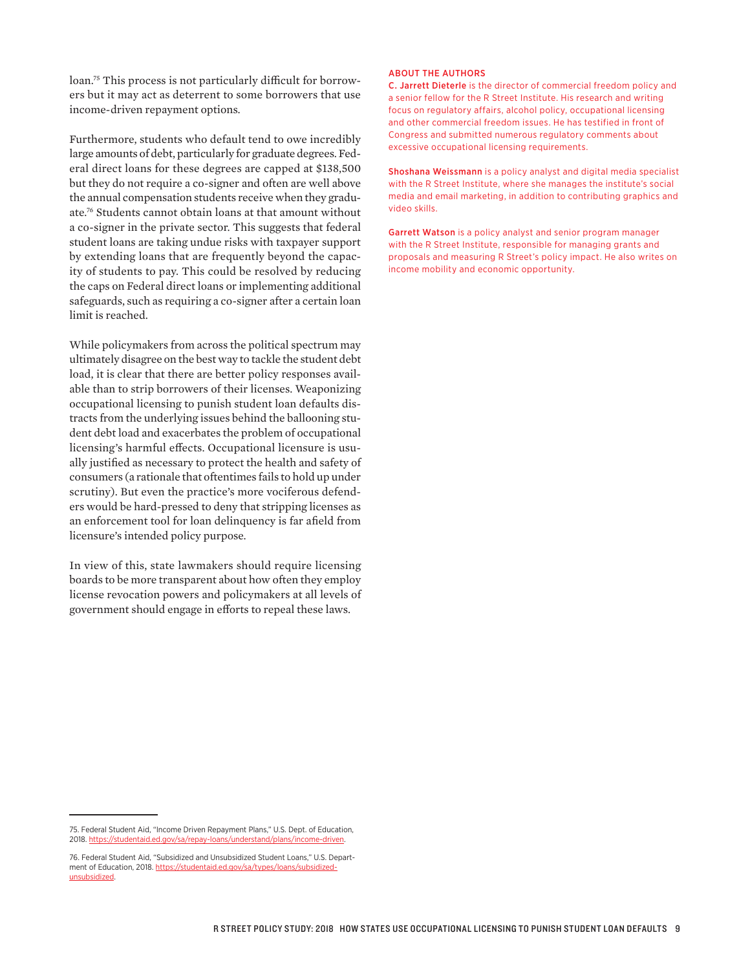loan.<sup>75</sup> This process is not particularly difficult for borrowers but it may act as deterrent to some borrowers that use income-driven repayment options.

Furthermore, students who default tend to owe incredibly large amounts of debt, particularly for graduate degrees. Federal direct loans for these degrees are capped at \$138,500 but they do not require a co-signer and often are well above the annual compensation students receive when they graduate.76 Students cannot obtain loans at that amount without a co-signer in the private sector. This suggests that federal student loans are taking undue risks with taxpayer support by extending loans that are frequently beyond the capacity of students to pay. This could be resolved by reducing the caps on Federal direct loans or implementing additional safeguards, such as requiring a co-signer after a certain loan limit is reached.

While policymakers from across the political spectrum may ultimately disagree on the best way to tackle the student debt load, it is clear that there are better policy responses available than to strip borrowers of their licenses. Weaponizing occupational licensing to punish student loan defaults distracts from the underlying issues behind the ballooning student debt load and exacerbates the problem of occupational licensing's harmful effects. Occupational licensure is usually justified as necessary to protect the health and safety of consumers (a rationale that oftentimes fails to hold up under scrutiny). But even the practice's more vociferous defenders would be hard-pressed to deny that stripping licenses as an enforcement tool for loan delinquency is far afield from licensure's intended policy purpose.

In view of this, state lawmakers should require licensing boards to be more transparent about how often they employ license revocation powers and policymakers at all levels of government should engage in efforts to repeal these laws.

#### ABOUT THE AUTHORS

C. Jarrett Dieterle is the director of commercial freedom policy and a senior fellow for the R Street Institute. His research and writing focus on regulatory affairs, alcohol policy, occupational licensing and other commercial freedom issues. He has testified in front of Congress and submitted numerous regulatory comments about excessive occupational licensing requirements.

Shoshana Weissmann is a policy analyst and digital media specialist with the R Street Institute, where she manages the institute's social media and email marketing, in addition to contributing graphics and video skills.

Garrett Watson is a policy analyst and senior program manager with the R Street Institute, responsible for managing grants and proposals and measuring R Street's policy impact. He also writes on income mobility and economic opportunity.

<sup>75.</sup> Federal Student Aid, "Income Driven Repayment Plans," U.S. Dept. of Education, 2018. https://studentaid.ed.gov/sa/repay-loans/understand

<sup>76.</sup> Federal Student Aid, "Subsidized and Unsubsidized Student Loans," U.S. Department of Education, 2018. https://studentaid.ed.gov/sa/types/loans/subsidizedunsubsidized.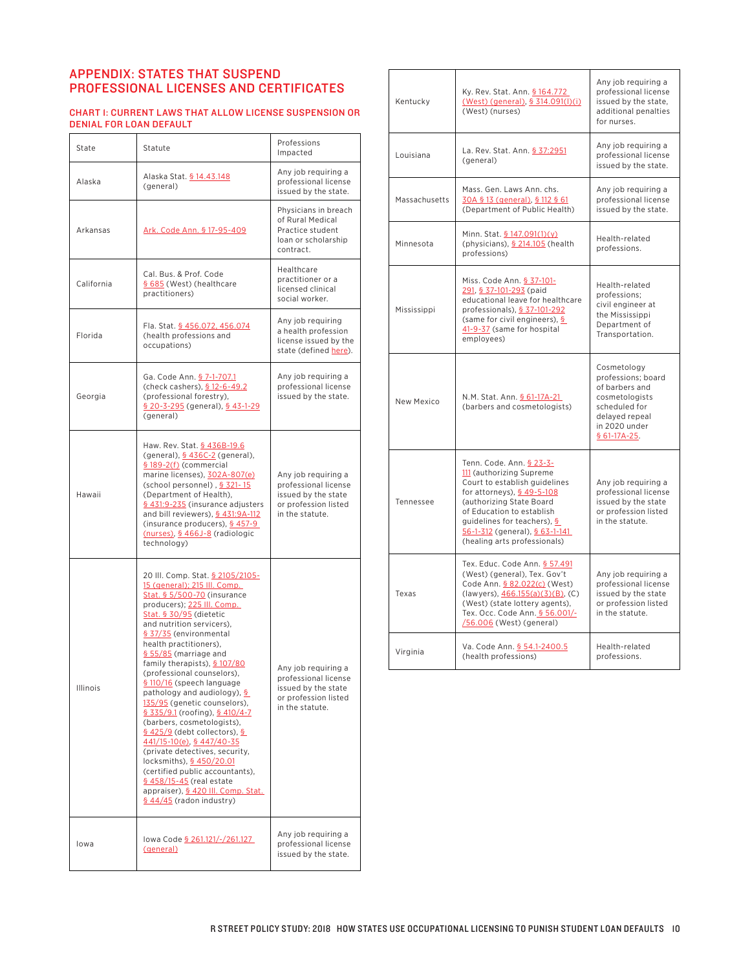## APPENDIX: STATES THAT SUSPEND PROFESSIONAL LICENSES AND CERTIFICATES

#### CHART 1: CURRENT LAWS THAT ALLOW LICENSE SUSPENSION OR DENIAL FOR LOAN DEFAULT

| State      | Statute                                                                                                                                                                                                                                                                                                                                                                                                                                                                                                                                                                                                                                                                                                                                                    | Professions<br>Impacted                                                                                       |  |
|------------|------------------------------------------------------------------------------------------------------------------------------------------------------------------------------------------------------------------------------------------------------------------------------------------------------------------------------------------------------------------------------------------------------------------------------------------------------------------------------------------------------------------------------------------------------------------------------------------------------------------------------------------------------------------------------------------------------------------------------------------------------------|---------------------------------------------------------------------------------------------------------------|--|
| Alaska     | Alaska Stat. § 14.43.148<br>(general)                                                                                                                                                                                                                                                                                                                                                                                                                                                                                                                                                                                                                                                                                                                      | Any job requiring a<br>professional license<br>issued by the state.                                           |  |
| Arkansas   | Ark. Code Ann. § 17-95-409                                                                                                                                                                                                                                                                                                                                                                                                                                                                                                                                                                                                                                                                                                                                 | Physicians in breach<br>of Rural Medical<br>Practice student<br>loan or scholarship<br>contract.              |  |
| California | Cal. Bus. & Prof. Code<br>§ 685 (West) (healthcare<br>practitioners)                                                                                                                                                                                                                                                                                                                                                                                                                                                                                                                                                                                                                                                                                       | Healthcare<br>practitioner or a<br>licensed clinical<br>social worker.                                        |  |
| Florida    | Fla. Stat. § 456.072, 456.074<br>(health professions and<br>occupations)                                                                                                                                                                                                                                                                                                                                                                                                                                                                                                                                                                                                                                                                                   | Any job requiring<br>a health profession<br>license issued by the<br>state (defined here).                    |  |
| Georgia    | Ga. Code Ann. <u>§ 7-1-707.1</u><br>(check cashers), § 12-6-49.2<br>(professional forestry),<br>§ 20-3-295 (general), § 43-1-29<br>(general)                                                                                                                                                                                                                                                                                                                                                                                                                                                                                                                                                                                                               | Any job requiring a<br>professional license<br>issued by the state.                                           |  |
| Hawaii     | Haw. Rev. Stat. § 436B-19.6<br>(general), § 436C-2 (general),<br>§ 189-2(f) (commercial<br>marine licenses), 302A-807(e)<br>(school personnel), § 321-15<br>(Department of Health),<br>§ 431:9-235 (insurance adjusters<br>and bill reviewers), § 431:9A-112<br>(insurance producers), § 457-9<br>(nurses), § 466J-8 (radiologic<br>technology)                                                                                                                                                                                                                                                                                                                                                                                                            | Any job requiring a<br>professional license<br>issued by the state<br>or profession listed<br>in the statute. |  |
| Illinois   | 20 III. Comp. Stat. § 2105/2105-<br>15 (general); 215 Ill. Comp.<br>Stat. § 5/500-70 (insurance<br>producers); 225 III. Comp.<br>Stat. § 30/95 (dietetic<br>and nutrition servicers),<br>§ 37/35 (environmental<br>health practitioners),<br>§ 55/85 (marriage and<br>family therapists), § 107/80<br>(professional counselors),<br>§ 110/16 (speech language<br>pathology and audiology), §<br>135/95 (genetic counselors),<br>$$335/9.1$ (roofing), $$410/4-7$<br>(barbers, cosmetologists),<br>§ 425/9 (debt collectors), §<br>441/15-10(e), § 447/40-35<br>(private detectives, security,<br>locksmiths), § 450/20.01<br>(certified public accountants),<br>§ 458/15-45 (real estate<br>appraiser), § 420 Ill. Comp. Stat.<br>§ 44/45 (radon industry) | Any job requiring a<br>professional license<br>issued by the state<br>or profession listed<br>in the statute. |  |
| lowa       | lowa Code § 261.121/-/261.127<br>(general)                                                                                                                                                                                                                                                                                                                                                                                                                                                                                                                                                                                                                                                                                                                 | Any job requiring a<br>professional license<br>issued by the state.                                           |  |

| Kentucky      | Ky. Rev. Stat. Ann. § 164.772<br>(West) (general), § 314.091(l)(i)<br>(West) (nurses)                                                                                                                                                                                                    | Any job requiring a<br>professional license<br>issued by the state,<br>additional penalties<br>for nurses.                                 |  |
|---------------|------------------------------------------------------------------------------------------------------------------------------------------------------------------------------------------------------------------------------------------------------------------------------------------|--------------------------------------------------------------------------------------------------------------------------------------------|--|
| Louisiana     | La. Rev. Stat. Ann. § 37:2951<br>(general)                                                                                                                                                                                                                                               | Any job requiring a<br>professional license<br>issued by the state.                                                                        |  |
| Massachusetts | Mass. Gen. Laws Ann. chs.<br>30A § 13 (general), § 112 § 61<br>(Department of Public Health)                                                                                                                                                                                             | Any job requiring a<br>professional license<br>issued by the state.                                                                        |  |
| Minnesota     | Minn. Stat. § 147.091(1)(y)<br>(physicians), § 214.105 (health<br>professions)                                                                                                                                                                                                           | Health-related<br>professions.                                                                                                             |  |
| Mississippi   | Miss. Code Ann. § 37-101-<br>291, § 37-101-293 (paid<br>educational leave for healthcare<br>professionals), § 37-101-292<br>(same for civil engineers), §<br>41-9-37 (same for hospital<br>employees)                                                                                    | Health-related<br>professions;<br>civil engineer at<br>the Mississippi<br>Department of<br>Transportation.                                 |  |
| New Mexico    | N.M. Stat. Ann. § 61-17A-21<br>(barbers and cosmetologists)                                                                                                                                                                                                                              | Cosmetology<br>professions: board<br>of barbers and<br>cosmetologists<br>scheduled for<br>delayed repeal<br>in 2020 under<br>$$61-17A-25.$ |  |
| Tennessee     | Tenn. Code. Ann. § 23-3-<br>111 (authorizing Supreme<br>Court to establish guidelines<br>for attorneys), § 49-5-108<br>(authorizing State Board<br>of Education to establish<br>guidelines for teachers), §<br>$56 - 1 - 312$ (general), $$63 - 1 - 141$<br>(healing arts professionals) | Any job requiring a<br>professional license<br>issued by the state<br>or profession listed<br>in the statute.                              |  |
| Texas         | Tex. Educ. Code Ann. § 57.491<br>(West) (general), Tex. Gov't<br>Code Ann. § 82.022(c) (West)<br>(lawyers), 466.155(a)(3)(B), (C)<br>(West) (state lottery agents),<br>Tex. Occ. Code Ann. § 56.001/-<br>/56.006 (West) (general)                                                        | Any job requiring a<br>professional license<br>issued by the state<br>or profession listed<br>in the statute.                              |  |
| Virginia      | Va. Code Ann. § 54.1-2400.5<br>(health professions)                                                                                                                                                                                                                                      | Health-related<br>professions.                                                                                                             |  |